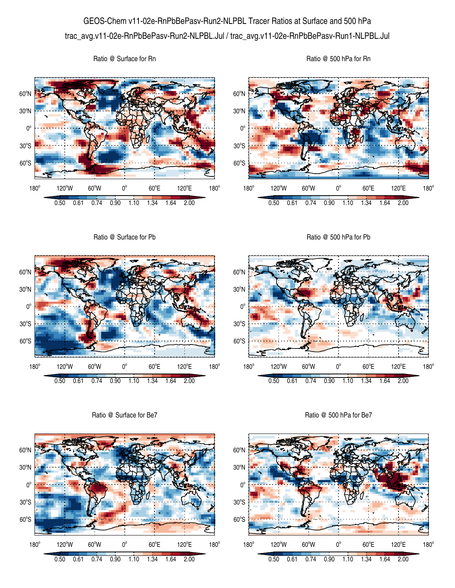## GEOS-Chem v11-02e-RnPbBePasv-Run2-NLPBL Tracer Ratios at Surface and 500 hPa trac\_avg.v11-02e-RnPbBePasv-Run2-NLPBL.Jul / trac\_avg.v11-02e-RnPbBePasv-Run1-NLPBL.Jul

Ratio @ Surface for Rn





60°S

 $180^\circ$ 

 $30^{\circ}$ S

 $0^{\circ}$ 

30<sup>°</sup>N



Ratio @ Surface for Be7



Ratio @ 500 hPa for Be7

0.50 0.61 0.74 0.90 1.10 1.34 1.64 2.00

 $60^{\circ}E$ 

120°E

 $180^\circ$ 

3

120°W 60°W 0°